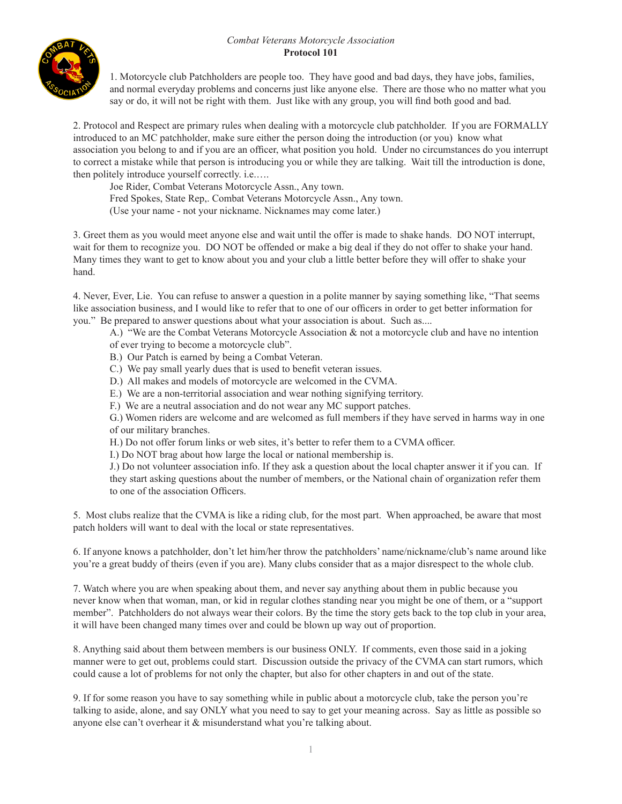## *Combat Veterans Motorcycle Association* **Protocol 101**



1. Motorcycle club Patchholders are people too. They have good and bad days, they have jobs, families, and normal everyday problems and concerns just like anyone else. There are those who no matter what you say or do, it will not be right with them. Just like with any group, you will find both good and bad.

2. Protocol and Respect are primary rules when dealing with a motorcycle club patchholder. If you are FORMALLY introduced to an MC patchholder, make sure either the person doing the introduction (or you) know what association you belong to and if you are an officer, what position you hold. Under no circumstances do you interrupt to correct a mistake while that person is introducing you or while they are talking. Wait till the introduction is done, then politely introduce yourself correctly. i.e.….

Joe Rider, Combat Veterans Motorcycle Assn., Any town.

Fred Spokes, State Rep,. Combat Veterans Motorcycle Assn., Any town.

 (Use your name - not your nickname. Nicknames may come later.)

3. Greet them as you would meet anyone else and wait until the offer is made to shake hands. DO NOT interrupt, wait for them to recognize you. DO NOT be offended or make a big deal if they do not offer to shake your hand. Many times they want to get to know about you and your club a little better before they will offer to shake your hand.

4. Never, Ever, Lie. You can refuse to answer a question in a polite manner by saying something like, "That seems like association business, and I would like to refer that to one of our officers in order to get better information for you." Be prepared to answer questions about what your association is about. Such as....

 A.) "We are the Combat Veterans Motorcycle Association & not a motorcycle club and have no intention of ever trying to become a motorcycle club".

- B.) Our Patch is earned by being a Combat Veteran.
- C.) We pay small yearly dues that is used to benefit veteran issues.
- D.) All makes and models of motorcycle are welcomed in the CVMA.
- E.) We are a non-territorial association and wear nothing signifying territory.
- F.) We are a neutral association and do not wear any MC support patches.

G.) Women riders are welcome and are welcomed as full members if they have served in harms way in one of our military branches.

 H.) Do not offer forum links or web sites, it's better to refer them to a CVMA officer.

 I.) Do NOT brag about how large the local or national membership is.

 J.) Do not volunteer association info. If they ask a question about the local chapter answer it if you can. If they start asking questions about the number of members, or the National chain of organization refer them to one of the association Officers.

5. Most clubs realize that the CVMA is like a riding club, for the most part. When approached, be aware that most patch holders will want to deal with the local or state representatives.

6. If anyone knows a patchholder, don't let him/her throw the patchholders' name/nickname/club's name around like you're a great buddy of theirs (even if you are). Many clubs consider that as a major disrespect to the whole club.

7. Watch where you are when speaking about them, and never say anything about them in public because you never know when that woman, man, or kid in regular clothes standing near you might be one of them, or a "support member". Patchholders do not always wear their colors. By the time the story gets back to the top club in your area, it will have been changed many times over and could be blown up way out of proportion.

8. Anything said about them between members is our business ONLY. If comments, even those said in a joking manner were to get out, problems could start. Discussion outside the privacy of the CVMA can start rumors, which could cause a lot of problems for not only the chapter, but also for other chapters in and out of the state.

9. If for some reason you have to say something while in public about a motorcycle club, take the person you're talking to aside, alone, and say ONLY what you need to say to get your meaning across. Say as little as possible so anyone else can't overhear it & misunderstand what you're talking about.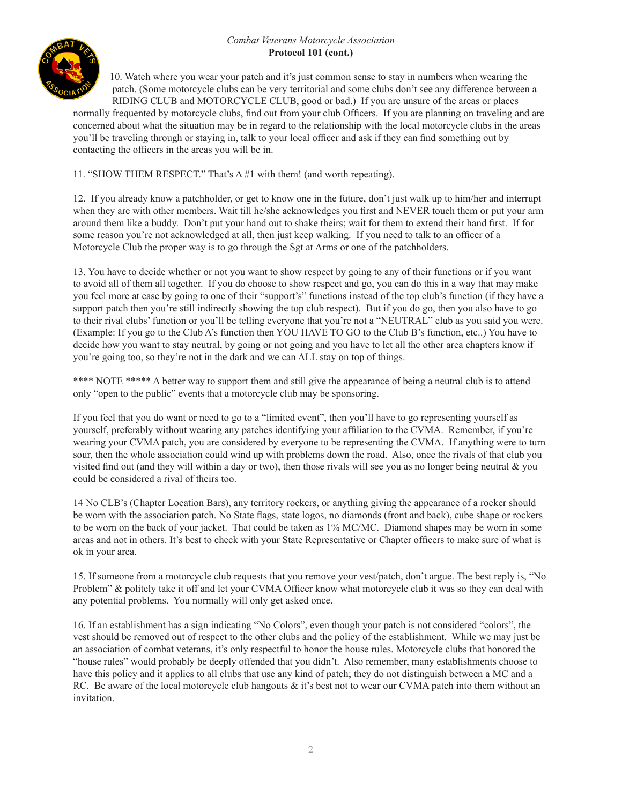## *Combat Veterans Motorcycle Association* **Protocol 101 (cont.)**



10. Watch where you wear your patch and it's just common sense to stay in numbers when wearing the patch. (Some motorcycle clubs can be very territorial and some clubs don't see any difference between a RIDING CLUB and MOTORCYCLE CLUB, good or bad.) If you are unsure of the areas or places

normally frequented by motorcycle clubs, find out from your club Officers. If you are planning on traveling and are concerned about what the situation may be in regard to the relationship with the local motorcycle clubs in the areas you'll be traveling through or staying in, talk to your local officer and ask if they can find something out by contacting the officers in the areas you will be in.

11. "SHOW THEM RESPECT." That's A #1 with them! (and worth repeating).

12. If you already know a patchholder, or get to know one in the future, don't just walk up to him/her and interrupt when they are with other members. Wait till he/she acknowledges you first and NEVER touch them or put your arm around them like a buddy. Don't put your hand out to shake theirs; wait for them to extend their hand first. If for some reason you're not acknowledged at all, then just keep walking. If you need to talk to an officer of a Motorcycle Club the proper way is to go through the Sgt at Arms or one of the patchholders.

13. You have to decide whether or not you want to show respect by going to any of their functions or if you want to avoid all of them all together. If you do choose to show respect and go, you can do this in a way that may make you feel more at ease by going to one of their "support's" functions instead of the top club's function (if they have a support patch then you're still indirectly showing the top club respect). But if you do go, then you also have to go to their rival clubs' function or you'll be telling everyone that you're not a "NEUTRAL" club as you said you were. (Example: If you go to the Club A's function then YOU HAVE TO GO to the Club B's function, etc..) You have to decide how you want to stay neutral, by going or not going and you have to let all the other area chapters know if you're going too, so they're not in the dark and we can ALL stay on top of things.

\*\*\*\* NOTE \*\*\*\*\* A better way to support them and still give the appearance of being a neutral club is to attend only "open to the public" events that a motorcycle club may be sponsoring.

If you feel that you do want or need to go to a "limited event", then you'll have to go representing yourself as yourself, preferably without wearing any patches identifying your affiliation to the CVMA. Remember, if you're wearing your CVMA patch, you are considered by everyone to be representing the CVMA. If anything were to turn sour, then the whole association could wind up with problems down the road. Also, once the rivals of that club you visited find out (and they will within a day or two), then those rivals will see you as no longer being neutral  $\&$  you could be considered a rival of theirs too.

14 No CLB's (Chapter Location Bars), any territory rockers, or anything giving the appearance of a rocker should be worn with the association patch. No State flags, state logos, no diamonds (front and back), cube shape or rockers to be worn on the back of your jacket. That could be taken as 1% MC/MC. Diamond shapes may be worn in some areas and not in others. It's best to check with your State Representative or Chapter officers to make sure of what is ok in your area.

15. If someone from a motorcycle club requests that you remove your vest/patch, don't argue. The best reply is, "No Problem" & politely take it off and let your CVMA Officer know what motorcycle club it was so they can deal with any potential problems. You normally will only get asked once.

16. If an establishment has a sign indicating "No Colors", even though your patch is not considered "colors", the vest should be removed out of respect to the other clubs and the policy of the establishment. While we may just be an association of combat veterans, it's only respectful to honor the house rules. Motorcycle clubs that honored the "house rules" would probably be deeply offended that you didn't. Also remember, many establishments choose to have this policy and it applies to all clubs that use any kind of patch; they do not distinguish between a MC and a RC. Be aware of the local motorcycle club hangouts & it's best not to wear our CVMA patch into them without an invitation.